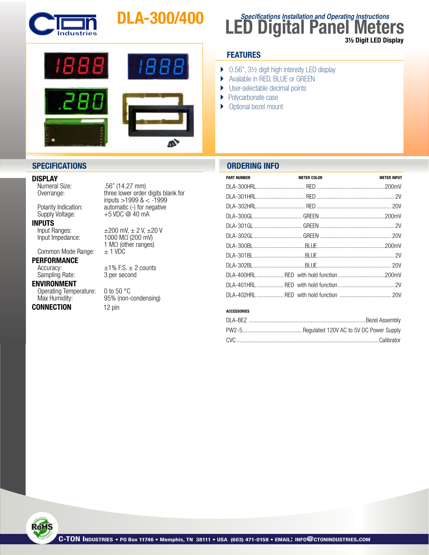

# DLA-300/400



## **SPECIFICATIONS ORDERING INFO**

**DISPLAY**<br>
Numeral Size:

**INPUTS**<br>Input Ranges:

Common Mode Range:

## PERFORMANCE

Sampling Rate:

### ENVIRONMENT

Operating Temperature: 0 to 50 °C<br>Max Humidity: 95% (non-

# **CONNECTION** 12 pin

 Numeral Size: .56" (14.27 mm) three lower order digits blank for  $'$ inputs >1999 & < -1999<br>Polarity Indication: automatic (-) for negative Polarity Indication: automatic (-) for negative<br>Supply Voltage: +5 VDC @ 40 mA  $+5$  VDC @ 40 mA

Input Ranges:  $\pm 200$  mV,  $\pm 2$  V,  $\pm 20$  V<br>Input Impedance:  $1000$  M $\Omega$  (200 mV)  $1000 M\Omega$  (200 mV) 1 M $\Omega$  (other ranges)<br> $\pm$  1 VDC

Accuracy:  $\pm 1\%$  F.S.  $\pm 2$  counts<br>Sampling Rate: 3 per second

95% (non-condensing)

**FEATURES**

} Polycarbonate case ▶ Optional bezel mount

▶ 0.56", 3½ digit high intensity LED display } Available in RED, BLUE or GREEN ▶ User-selectable decimal points

| <b>PART NUMBER</b> | <b>METER COLOR</b> | <b>METER INPUT</b> |
|--------------------|--------------------|--------------------|
|                    |                    |                    |
|                    |                    |                    |
|                    |                    |                    |
|                    |                    |                    |
|                    |                    |                    |
|                    |                    |                    |
|                    |                    |                    |
|                    |                    |                    |
|                    |                    |                    |
|                    |                    |                    |
|                    |                    |                    |
|                    |                    |                    |
|                    |                    |                    |

**LED Digital Panel Meters**

3½ Digit LED Display

**Specifications Installation and Operating Instructions**

### ACCESSORIES